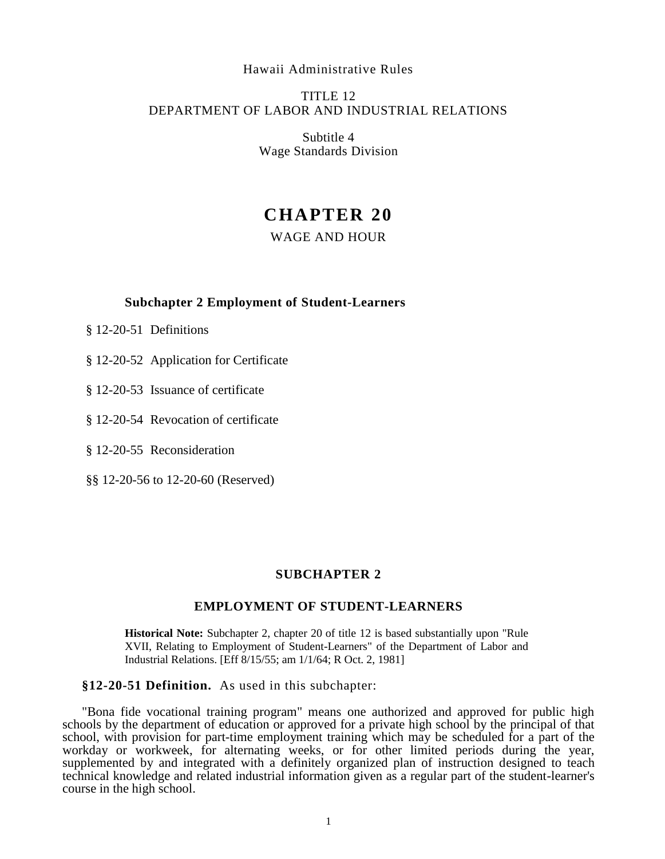#### Hawaii Administrative Rules

# TITLE 12 DEPARTMENT OF LABOR AND INDUSTRIAL RELATIONS

Subtitle 4 Wage Standards Division

# **CHAPTER 20**

# WAGE AND HOUR

## **Subchapter 2 Employment of Student-Learners**

- § 12-20-51 Definitions
- § 12-20-52 Application for Certificate
- § 12-20-53 Issuance of certificate
- § 12-20-54 Revocation of certificate
- § 12-20-55 Reconsideration
- §§ 12-20-56 to 12-20-60 (Reserved)

### **SUBCHAPTER 2**

#### **EMPLOYMENT OF STUDENT-LEARNERS**

**Historical Note:** Subchapter 2, chapter 20 of title 12 is based substantially upon "Rule XVII, Relating to Employment of Student-Learners" of the Department of Labor and Industrial Relations. [Eff 8/15/55; am 1/1/64; R Oct. 2, 1981]

### **§12-20-51 Definition.** As used in this subchapter:

"Bona fide vocational training program" means one authorized and approved for public high schools by the department of education or approved for a private high school by the principal of that school, with provision for part-time employment training which may be scheduled for a part of the workday or workweek, for alternating weeks, or for other limited periods during the year, supplemented by and integrated with a definitely organized plan of instruction designed to teach technical knowledge and related industrial information given as a regular part of the student-learner's course in the high school.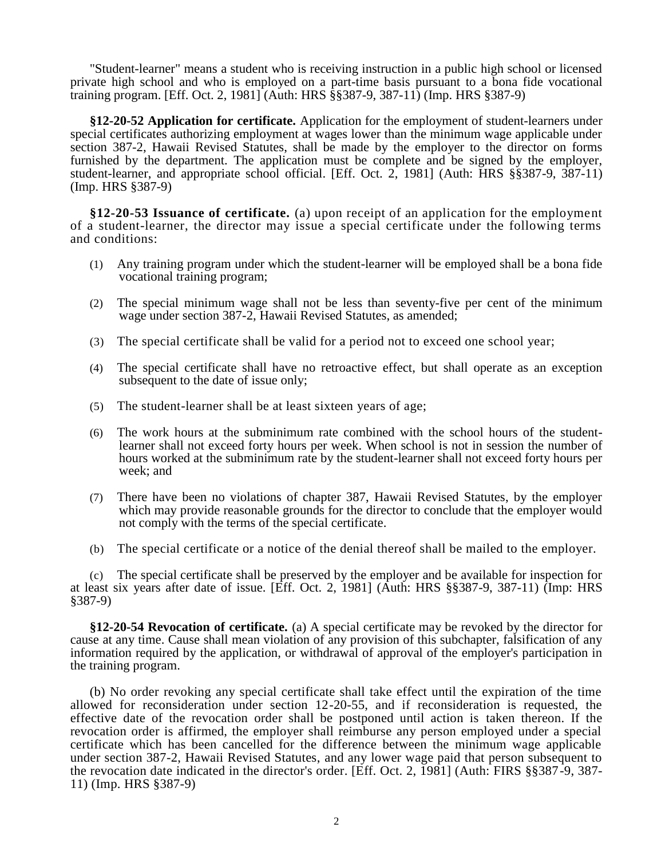"Student-learner" means a student who is receiving instruction in a public high school or licensed private high school and who is employed on a part-time basis pursuant to a bona fide vocational training program. [Eff. Oct. 2, 1981] (Auth: HRS §§387-9, 387-11) (Imp. HRS §387-9)

**§12-20-52 Application for certificate.** Application for the employment of student-learners under special certificates authorizing employment at wages lower than the minimum wage applicable under section 387-2, Hawaii Revised Statutes, shall be made by the employer to the director on forms furnished by the department. The application must be complete and be signed by the employer, student-learner, and appropriate school official. [Eff. Oct. 2, 1981] (Auth: HRS §§387-9, 387-11) (Imp. HRS §387-9)

**§12-20-53 Issuance of certificate.** (a) upon receipt of an application for the employment of a student-learner, the director may issue a special certificate under the following terms and conditions:

- (1) Any training program under which the student-learner will be employed shall be a bona fide vocational training program;
- (2) The special minimum wage shall not be less than seventy-five per cent of the minimum wage under section 387-2, Hawaii Revised Statutes, as amended;
- (3) The special certificate shall be valid for a period not to exceed one school year;
- (4) The special certificate shall have no retroactive effect, but shall operate as an exception subsequent to the date of issue only;
- (5) The student-learner shall be at least sixteen years of age;
- (6) The work hours at the subminimum rate combined with the school hours of the studentlearner shall not exceed forty hours per week. When school is not in session the number of hours worked at the subminimum rate by the student-learner shall not exceed forty hours per week; and
- (7) There have been no violations of chapter 387, Hawaii Revised Statutes, by the employer which may provide reasonable grounds for the director to conclude that the employer would not comply with the terms of the special certificate.
- (b) The special certificate or a notice of the denial thereof shall be mailed to the employer.

(c) The special certificate shall be preserved by the employer and be available for inspection for at least six years after date of issue. [Eff. Oct. 2, 1981] (Auth: HRS §§387-9, 387-11) (Imp: HRS §387-9)

**§12-20-54 Revocation of certificate.** (a) A special certificate may be revoked by the director for cause at any time. Cause shall mean violation of any provision of this subchapter, falsification of any information required by the application, or withdrawal of approval of the employer's participation in the training program.

(b) No order revoking any special certificate shall take effect until the expiration of the time allowed for reconsideration under section 12-20-55, and if reconsideration is requested, the effective date of the revocation order shall be postponed until action is taken thereon. If the revocation order is affirmed, the employer shall reimburse any person employed under a special certificate which has been cancelled for the difference between the minimum wage applicable under section 387-2, Hawaii Revised Statutes, and any lower wage paid that person subsequent to the revocation date indicated in the director's order. [Eff. Oct. 2, 1981] (Auth: FIRS §§387-9, 387- 11) (Imp. HRS §387-9)